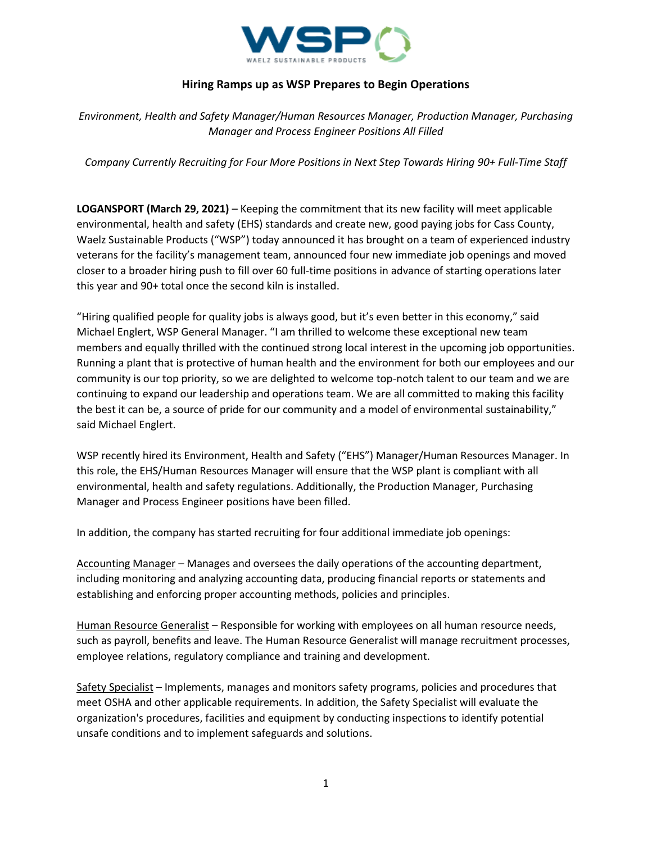

## **Hiring Ramps up as WSP Prepares to Begin Operations**

*Environment, Health and Safety Manager/Human Resources Manager, Production Manager, Purchasing Manager and Process Engineer Positions All Filled*

*Company Currently Recruiting for Four More Positions in Next Step Towards Hiring 90+ Full-Time Staff*

**LOGANSPORT (March 29, 2021)** – Keeping the commitment that its new facility will meet applicable environmental, health and safety (EHS) standards and create new, good paying jobs for Cass County, Waelz Sustainable Products ("WSP") today announced it has brought on a team of experienced industry veterans for the facility's management team, announced four new immediate job openings and moved closer to a broader hiring push to fill over 60 full-time positions in advance of starting operations later this year and 90+ total once the second kiln is installed.

"Hiring qualified people for quality jobs is always good, but it's even better in this economy," said Michael Englert, WSP General Manager. "I am thrilled to welcome these exceptional new team members and equally thrilled with the continued strong local interest in the upcoming job opportunities. Running a plant that is protective of human health and the environment for both our employees and our community is our top priority, so we are delighted to welcome top-notch talent to our team and we are continuing to expand our leadership and operations team. We are all committed to making this facility the best it can be, a source of pride for our community and a model of environmental sustainability," said Michael Englert.

WSP recently hired its Environment, Health and Safety ("EHS") Manager/Human Resources Manager. In this role, the EHS/Human Resources Manager will ensure that the WSP plant is compliant with all environmental, health and safety regulations. Additionally, the Production Manager, Purchasing Manager and Process Engineer positions have been filled.

In addition, the company has started recruiting for four additional immediate job openings:

Accounting Manager – Manages and oversees the daily operations of the accounting department, including monitoring and analyzing accounting data, producing financial reports or statements and establishing and enforcing proper accounting methods, policies and principles.

Human Resource Generalist – Responsible for working with employees on all human resource needs, such as payroll, benefits and leave. The Human Resource Generalist will manage recruitment processes, employee relations, regulatory compliance and training and development.

Safety Specialist – Implements, manages and monitors safety programs, policies and procedures that meet OSHA and other applicable requirements. In addition, the Safety Specialist will evaluate the organization's procedures, facilities and equipment by conducting inspections to identify potential unsafe conditions and to implement safeguards and solutions.